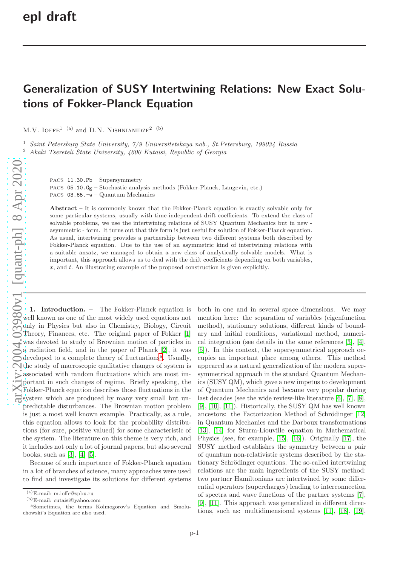## Generalization of SUSY Intertwining Relations: New Exact Solutions of Fokker-Planck Equation

M.V. IOFFE<sup>1 (a)</sup> and D.N. NISHNIANIDZE<sup>2</sup> (b)

<sup>1</sup> Saint Petersburg State University, 7/9 Universitetskaya nab., St.Petersburg, 199034 Russia <sup>2</sup> Akaki Tsereteli State University, 4600 Kutaisi, Republic of Georgia

PACS 11.30.Pb – Supersymmetry

PACS 05.10.Gg – Stochastic analysis methods (Fokker-Planck, Langevin, etc.) PACS 03.65.-w – Quantum Mechanics

Abstract – It is commonly known that the Fokker-Planck equation is exactly solvable only for some particular systems, usually with time-independent drift coefficients. To extend the class of solvable problems, we use the intertwining relations of SUSY Quantum Mechanics but in new asymmetric - form. It turns out that this form is just useful for solution of Fokker-Planck equation. As usual, intertwining provides a partnership between two different systems both described by Fokker-Planck equation. Due to the use of an asymmetric kind of intertwining relations with a suitable ansatz, we managed to obtain a new class of analytically solvable models. What is important, this approach allows us to deal with the drift coefficients depending on both variables,  $x$ , and  $t$ . An illustrating example of the proposed construction is given explicitly.

[arXiv:2004.03980v1 \[quant-ph\] 8 Apr 2020](http://arxiv.org/abs/2004.03980v1) 1. Introduction. – The Fokker-Planck equation is well known as one of the most widely used equations not only in Physics but also in Chemistry, Biology, Circuit Theory, Finances, etc. The original paper of Fokker [\[1\]](#page-4-0) was devoted to study of Brownian motion of particles in a radiation field, and in the paper of Planck [\[2\]](#page-4-1), it was developed to [a](#page-0-0) complete theory of fluctuations<sup>a</sup>. Usually, the study of macroscopic qualitative changes of system is associated with random fluctuations which are most important in such changes of regime. Briefly speaking, the Fokker-Planck equation describes those fluctuations in the system which are produced by many very small but unpredictable disturbances. The Brownian motion problem is just a most well known example. Practically, as a rule, this equation allows to look for the probability distributions (for sure, positive valued) for some characteristic of the system. The literature on this theme is very rich, and it includes not only a lot of journal papers, but also several books, such as [\[3\]](#page-4-2), [\[4\]](#page-4-3) [\[5\]](#page-4-4).

Because of such importance of Fokker-Planck equation in a lot of branches of science, many approaches were used to find and investigate its solutions for different systems both in one and in several space dimensions. We may mention here: the separation of variables (eigenfunction method), stationary solutions, different kinds of boundary and initial conditions, variational method, numerical integration (see details in the same references [\[3\]](#page-4-2), [\[4\]](#page-4-3), [\[5\]](#page-4-4)). In this context, the supersymmetrical approach occupies an important place among others. This method appeared as a natural generalization of the modern supersymmetrical approach in the standard Quantum Mechanics (SUSY QM), which gave a new impetus to development of Quantum Mechanics and became very popular during last decades (see the wide review-like literature [\[6\]](#page-4-5), [\[7\]](#page-4-6), [\[8\]](#page-4-7), [\[9\]](#page-4-8), [\[10\]](#page-4-9), [\[11\]](#page-4-10)). Historically, the SUSY QM has well known ancestors: the Factorization Method of Schrödinger  $[12]$ in Quantum Mechanics and the Darboux transformations [\[13\]](#page-4-12), [\[14\]](#page-4-13) for Sturm-Liouville equation in Mathematical Physics (see, for example, [\[15\]](#page-4-14), [\[16\]](#page-4-15)). Originally [\[17\]](#page-4-16), the SUSY method establishes the symmetry between a pair of quantum non-relativistic systems described by the stationary Schrödinger equations. The so-called intertwining relations are the main ingredients of the SUSY method: two partner Hamiltonians are intertwined by some differential operators (supercharges) leading to interconnection of spectra and wave functions of the partner systems [\[7\]](#page-4-6), [\[9\]](#page-4-8), [\[11\]](#page-4-10). This approach was generalized in different directions, such as: multidimensional systems [\[11\]](#page-4-10), [\[18\]](#page-4-17), [\[19\]](#page-4-18),

 $(a)$ E-mail: m.ioffe@spbu.ru

<sup>(</sup>b)E-mail: cutaisi@yahoo.com

<span id="page-0-0"></span><sup>a</sup>Sometimes, the terms Kolmogorov's Equation and Smoluchowski's Equation are also used.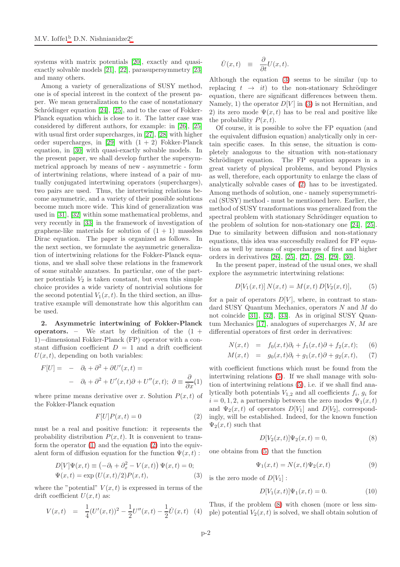systems with matrix potentials [\[20\]](#page-4-19), exactly and quasiexactly solvable models [\[21\]](#page-4-20), [\[22\]](#page-4-21), parasupersymmetry [\[23\]](#page-4-22) and many others.

Among a variety of generalizations of SUSY method, one is of special interest in the context of the present paper. We mean generalization to the case of nonstationary Schródinger equation  $[24]$ ,  $[25]$ , and to the case of Fokker-Planck equation which is close to it. The latter case was considered by different authors, for example: in [\[26\]](#page-5-0), [\[25\]](#page-4-24) with usual first order supercharges, in [\[27\]](#page-5-1), [\[28\]](#page-5-2) with higher order supercharges, in [\[29\]](#page-5-3) with  $(1 + 2)$  Fokker-Planck equation, in [\[30\]](#page-5-4) with quasi-exactly solvable models. In the present paper, we shall develop further the supersymmetrical approach by means of new - asymmetric - form of intertwining relations, where instead of a pair of mutually conjugated intertwining operators (supercharges), two pairs are used. Thus, the intertwining relations become asymmetric, and a variety of their possible solutions become much more wide. This kind of generalization was used in [\[31\]](#page-5-5), [\[32\]](#page-5-6) within some mathematical problems, and very recently in [\[33\]](#page-5-7) in the framework of investigation of graphene-like materials for solution of  $(1 + 1)$  massless Dirac equation. The paper is organized as follows. In the next section, we formulate the asymmetric generalization of intertwining relations for the Fokker-Planck equations, and we shall solve these relations in the framework of some suitable anzatses. In particular, one of the partner potentials  $V_2$  is taken constant, but even this simple choice provides a wide variety of nontrivial solutions for the second potential  $V_1(x, t)$ . In the third section, an illustrative example will demonstrate how this algorithm can be used.

2. Asymmetric intertwining of Fokker-Planck operators. – We start by definition of the  $(1 +$ 1)−dimensional Fokker-Planck (FP) operator with a constant diffusion coefficient  $D = 1$  and a drift coefficient  $U(x, t)$ , depending on both variables:

<span id="page-1-0"></span>
$$
F[U] = -\partial_t + \partial^2 + \partial U'(x, t) =
$$
  
-  $\partial_t + \partial^2 + U'(x, t)\partial + U''(x, t); \ \partial \equiv \frac{\partial}{\partial x}(1)$ 

where prime means derivative over x. Solution  $P(x, t)$  of the Fokker-Planck equation

<span id="page-1-1"></span>
$$
F[U]P(x,t) = 0\tag{2}
$$

must be a real and positive function: it represents the probability distribution  $P(x, t)$ . It is convenient to transform the operator  $(1)$  and the equation  $(2)$  into the equivalent form of diffusion equation for the function  $\Psi(x, t)$ :

<span id="page-1-2"></span>
$$
D[V]\Psi(x,t) \equiv \left(-\partial_t + \partial_x^2 - V(x,t)\right)\Psi(x,t) = 0;
$$
  

$$
\Psi(x,t) = \exp\left(U(x,t)/2\right)P(x,t),
$$
 (3)

where the "potential"  $V(x, t)$  is expressed in terms of the drift coefficient  $U(x, t)$  as:

<span id="page-1-7"></span>
$$
V(x,t) = \frac{1}{4}(U'(x,t))^2 - \frac{1}{2}U''(x,t) - \frac{1}{2}\dot{U}(x,t)
$$
 (4)

$$
\dot{U}(x,t) \equiv \frac{\partial}{\partial t}U(x,t).
$$

Although the equation [\(3\)](#page-1-2) seems to be similar (up to replacing  $t \rightarrow it$  to the non-stationary Schrödinger equation, there are significant differences between them. Namely, 1) the operator  $D[V]$  in [\(3\)](#page-1-2) is not Hermitian, and 2) its zero mode  $\Psi(x,t)$  has to be real and positive like the probability  $P(x, t)$ .

Of course, it is possible to solve the FP equation (and the equivalent diffusion equation) analytically only in certain specific cases. In this sense, the situation is completely analogous to the situation with non-stationary Schrödinger equation. The FP equation appears in a great variety of physical problems, and beyond Physics as well, therefore, each opportunity to enlarge the class of analytically solvable cases of [\(2\)](#page-1-1) has to be investigated. Among methods of solution, one - namely supersymmetrical (SUSY) method - must be mentioned here. Earlier, the method of SUSY transformations was generalized from the spectral problem with stationary Schrödinger equation to the problem of solution for non-stationary one [\[24\]](#page-4-23), [\[25\]](#page-4-24). Due to similarity between diffusion and non-stationary equations, this idea was successfully realized for FP equation as well by means of supercharges of first and higher orders in derivatives [\[26\]](#page-5-0), [\[25\]](#page-4-24), [\[27\]](#page-5-1), [\[28\]](#page-5-2), [\[29\]](#page-5-3), [\[30\]](#page-5-4).

In the present paper, instead of the usual ones, we shall explore the asymmetric intertwining relations:

<span id="page-1-3"></span>
$$
D[V_1(x,t)] N(x,t) = M(x,t) D[V_2(x,t)],
$$
 (5)

for a pair of operators  $D[V]$ , where, in contrast to standard SUSY Quantum Mechanics, operators N and M do not coincide [\[31\]](#page-5-5), [\[32\]](#page-5-6), [\[33\]](#page-5-7). As in original SUSY Quantum Mechanics  $[17]$ , analogues of supercharges N, M are differential operators of first order in derivatives:

$$
N(x,t) = f_0(x,t)\partial_t + f_1(x,t)\partial + f_2(x,t); \quad (6)
$$

$$
M(x,t) = g_0(x,t)\partial_t + g_1(x,t)\partial + g_2(x,t), \quad (7)
$$

with coefficient functions which must be found from the intertwining relations [\(5\)](#page-1-3). If we shall manage with solution of intertwining relations [\(5\)](#page-1-3), i.e. if we shall find analytically both potentials  $V_{1,2}$  and all coefficients  $f_i$ ,  $g_i$  for  $i = 0, 1, 2$ , a partnership between the zero modes  $\Psi_1(x, t)$ and  $\Psi_2(x,t)$  of operators  $D[V_1]$  and  $D[V_2]$ , correspondingly, will be established. Indeed, for the known function  $\Psi_2(x,t)$  such that

<span id="page-1-4"></span>
$$
D[V_2(x,t)]\Psi_2(x,t) = 0,
$$
\n(8)

one obtains from [\(5\)](#page-1-3) that the function

<span id="page-1-6"></span>
$$
\Psi_1(x,t) = N(x,t)\Psi_2(x,t) \tag{9}
$$

is the zero mode of  $D[V_1]$ :

<span id="page-1-5"></span>
$$
D[V_1(x,t)]\Psi_1(x,t) = 0.
$$
 (10)

Thus, if the problem [\(8\)](#page-1-4) with chosen (more or less simple) potential  $V_2(x,t)$  is solved, we shall obtain solution of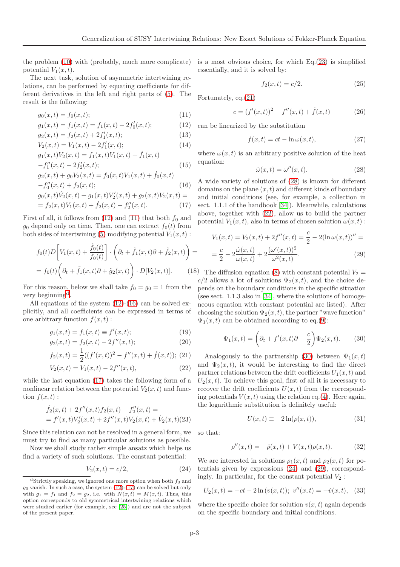the problem [\(10\)](#page-1-5) with (probably, much more complicate) potential  $V_1(x,t)$ .

The next task, solution of asymmetric intertwining relations, can be performed by equating coefficients for different derivatives in the left and right parts of [\(5\)](#page-1-3). The result is the following:

<span id="page-2-0"></span>
$$
g_0(x,t) = f_0(x,t); \t\t(11)
$$

$$
g_1(x,t) = f_1(x,t) = f_1(x,t) - 2f'_0(x,t); \tag{12}
$$

$$
g_2(x,t) = f_2(x,t) + 2f'_1(x,t); \tag{13}
$$

$$
V_2(x,t) = V_1(x,t) - 2f'_1(x,t); \tag{14}
$$

$$
g_1(x,t)V_2(x,t) = f_1(x,t)V_1(x,t) + \dot{f}_1(x,t)
$$
  
-
$$
f_1''(x,t) - 2f_2'(x,t);
$$
 (15)

$$
g_2(x,t) + g_0 V_2(x,t) = f_0(x,t) V_1(x,t) + \dot{f}_0(x,t)
$$
  

$$
-f''_0(x,t) + f_2(x,t);
$$
 (16)

$$
g_0(x, t)\dot{V}_2(x, t) + g_1(x, t)V'_2(x, t) + g_2(x, t)V_2(x, t) =
$$
  
=  $f_2(x, t)V_1(x, t) + \dot{f}_2(x, t) - f''_2(x, t).$  (17)

First of all, it follows from  $(12)$  and  $(11)$  that both  $f_0$  and  $g_0$  depend only on time. Then, one can extract  $f_0(t)$  from both sides of intertwining [\(5\)](#page-1-3) modifying potential  $V_1(x, t)$ :

$$
f_0(t)D\left[V_1(x,t) + \frac{\dot{f}_0(t)}{f_0(t)}\right] \cdot \left(\partial_t + \tilde{f}_1(x,t)\partial + \tilde{f}_2(x,t)\right) =
$$

$$
= f_0(t)\left(\partial_t + \tilde{f}_1(x,t)\partial + \tilde{g}_2(x,t)\right) \cdot D[V_2(x,t)]. \tag{18}
$$

For this reason, below we shall take  $f_0 = g_0 = 1$  from the very beginning<sup>[d](#page-2-1)</sup>.

All equations of the system [\(12\)](#page-2-0)-[\(16\)](#page-2-0) can be solved explicitly, and all coefficients can be expressed in terms of one arbitrary function  $f(x, t)$ :

<span id="page-2-3"></span>
$$
g_1(x,t) = f_1(x,t) \equiv f'(x,t); \tag{19}
$$

$$
g_2(x,t) = f_2(x,t) - 2f''(x,t); \tag{20}
$$

$$
f_2(x,t) = \frac{1}{2}((f'(x,t))^2 - f''(x,t) + \dot{f}(x,t));
$$
 (21)

$$
V_2(x,t) = V_1(x,t) - 2f''(x,t),
$$
\n(22)

while the last equation [\(17\)](#page-2-0) takes the following form of a nonlinear relation between the potential  $V_2(x, t)$  and function  $f(x, t)$ :

<span id="page-2-2"></span>
$$
\dot{f}_2(x,t) + 2f''(x,t)f_2(x,t) - f''_2(x,t) = \n= f'(x,t)V'_2(x,t) + 2f''(x,t)V_2(x,t) + \dot{V}_2(x,t)(23)
$$

Since this relation can not be resolved in a general form, we must try to find as many particular solutions as possible.

Now we shall study rather simple ansatz which helps us find a variety of such solutions. The constant potential:

<span id="page-2-6"></span>
$$
V_2(x,t) = c/2,
$$
\n(24)

is a most obvious choice, for which Eq.[\(23\)](#page-2-2) is simplified essentially, and it is solved by:

$$
f_2(x,t) = c/2.
$$
 (25)

Fortunately, eq.[\(21\)](#page-2-3)

$$
c = (f'(x,t))^2 - f''(x,t) + \dot{f}(x,t)
$$
 (26)

can be linearized by the substitution

<span id="page-2-11"></span>
$$
f(x,t) = ct - \ln \omega(x,t),
$$
 (27)

where  $\omega(x, t)$  is an arbitrary positive solution of the heat equation:

<span id="page-2-4"></span>
$$
\dot{\omega}(x,t) = \omega''(x,t). \tag{28}
$$

A wide variety of solutions of [\(28\)](#page-2-4) is known for different domains on the plane  $(x, t)$  and different kinds of boundary and initial conditions (see, for example, a collection in sect. 1.1.1 of the handbook [\[34\]](#page-5-8)). Meanwhile, calculations above, together with [\(22\)](#page-2-3), allow us to build the partner potential  $V_1(x, t)$ , also in terms of chosen solution  $\omega(x, t)$ :

<span id="page-2-7"></span>
$$
V_1(x,t) = V_2(x,t) + 2f''(x,t) = \frac{c}{2} - 2(\ln \omega(x,t))'' =
$$
  
=  $\frac{c}{2} - 2\frac{\omega(x,t)}{\omega(x,t)} + 2\frac{(\omega'(x,t))^2}{\omega^2(x,t)}.$  (29)

8) The diffusion equation [\(8\)](#page-1-4) with constant potential  $V_2 =$  $c/2$  allows a lot of solutions  $\Psi_2(x,t)$ , and the choice depends on the boundary conditions in the specific situation (see sect. 1.1.3 also in [\[34\]](#page-5-8), where the solutions of homogeneous equation with constant potential are listed). After choosing the solution  $\Psi_2(x, t)$ , the partner "wave function"  $\Psi_1(x,t)$  can be obtained according to eq.[\(9\)](#page-1-6):

<span id="page-2-5"></span>
$$
\Psi_1(x,t) = \left(\partial_t + f'(x,t)\partial + \frac{c}{2}\right)\Psi_2(x,t). \tag{30}
$$

Analogously to the partnership [\(30\)](#page-2-5) between  $\Psi_1(x,t)$ and  $\Psi_2(x,t)$ , it would be interesting to find the direct partner relations between the drift coefficients  $U_1(x, t)$  and  $U_2(x,t)$ . To achieve this goal, first of all it is necessary to recover the drift coefficients  $U(x, t)$  from the corresponding potentials  $V(x, t)$  using the relation eq.[\(4\)](#page-1-7). Here again, the logarithmic substitution is definitely useful:

<span id="page-2-8"></span>
$$
U(x,t) \equiv -2\ln(\rho(x,t)),\tag{31}
$$

so that:

<span id="page-2-9"></span>
$$
\rho''(x,t) = -\dot{\rho}(x,t) + V(x,t)\rho(x,t).
$$
 (32)

We are interested in solutions  $\rho_1(x,t)$  and  $\rho_2(x,t)$  for potentials given by expressions [\(24\)](#page-2-6) and [\(29\)](#page-2-7), correspondingly. In particular, for the constant potential  $V_2$ :

<span id="page-2-10"></span>
$$
U_2(x,t) = -ct - 2\ln(v(x,t)); \ v''(x,t) = -\dot{v}(x,t), \tag{33}
$$

where the specific choice for solution  $v(x, t)$  again depends on the specific boundary and initial conditions.

<span id="page-2-1"></span><sup>&</sup>lt;sup>d</sup>Strictly speaking, we ignored one more option when both  $f_0$  and  $g_0$  vanish. In such a case, the system  $(12)-(17)$  $(12)-(17)$  can be solved but only with  $g_1 = f_1$  and  $f_2 = g_2$ , i.e. with  $N(x,t) = M(x,t)$ . Thus, this option corresponds to old symmetrical intertwining relations which were studied earlier (for example, see [\[25\]](#page-4-24)) and are not the subject of the present paper.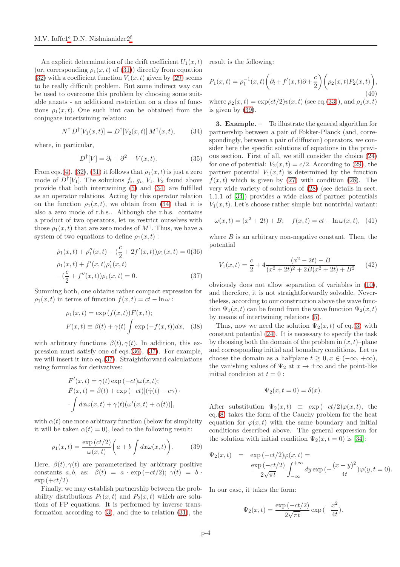An explicit determination of the drift coefficient  $U_1(x,t)$ (or, corresponding  $\rho_1(x,t)$  of [\(31\)](#page-2-8)) directly from equation [\(32\)](#page-2-9) with a coefficient function  $V_1(x,t)$  given by [\(29\)](#page-2-7) seems to be really difficult problem. But some indirect way can be used to overcome this problem by choosing some suitable anzats - an additional restriction on a class of functions  $\rho_1(x,t)$ . One such hint can be obtained from the conjugate intertwining relation:

<span id="page-3-0"></span>
$$
N^{\dagger} D^{\dagger} [V_1(x,t)] = D^{\dagger} [V_2(x,t)] M^{\dagger}(x,t), \quad (34)
$$

where, in particular,

$$
D^{\dagger}[V] = \partial_t + \partial^2 - V(x, t). \tag{35}
$$

From eqs.[\(4\)](#page-1-7), [\(32\)](#page-2-9), [\(31\)](#page-2-8) it follows that  $\rho_1(x,t)$  is just a zero mode of  $D^{\dagger}[V_1]$ . The solutions  $f_i, g_i, V_1, V_2$  found above provide that both intertwining [\(5\)](#page-1-3) and [\(34\)](#page-3-0) are fulfilled as an operator relations. Acting by this operator relation on the function  $\rho_1(x,t)$ , we obtain from [\(34\)](#page-3-0) that it is also a zero mode of r.h.s.. Although the r.h.s. contains a product of two operators, let us restrict ourselves with those  $\rho_1(x,t)$  that are zero modes of  $M^{\dagger}$ . Thus, we have a system of two equations to define  $\rho_1(x,t)$ :

<span id="page-3-1"></span>
$$
\dot{\rho}_1(x,t) + \rho_1''(x,t) - (\frac{c}{2} + 2f'(x,t))\rho_1(x,t) = 0(36)
$$
  

$$
\dot{\rho}_1(x,t) + f'(x,t)\rho_1'(x,t)
$$
  

$$
-(\frac{c}{2} + f''(x,t))\rho_1(x,t) = 0.
$$
 (37)

Summing both, one obtains rather compact expression for  $\rho_1(x,t)$  in terms of function  $f(x,t) = ct - \ln \omega$ :

$$
\rho_1(x,t) = \exp\left(f(x,t)\right)F(x,t);
$$

$$
F(x,t) \equiv \beta(t) + \gamma(t) \int \exp\left(-f(x,t)\right)dx, \quad (38)
$$

with arbitrary functions  $\beta(t), \gamma(t)$ . In addition, this expression must satisfy one of eqs.[\(36\)](#page-3-1), [\(37\)](#page-3-1). For example, we will insert it into eq.[\(37\)](#page-3-1). Straightforward calculations using formulas for derivatives:

$$
F'(x,t) = \gamma(t) \exp(-ct)\omega(x,t);
$$
  
\n
$$
\dot{F}(x,t) = \dot{\beta}(t) + \exp(-ct)[(\dot{\gamma}(t) - c\gamma) \cdot
$$
  
\n
$$
\int dx \omega(x,t) + \gamma(t)(\omega'(x,t) + \alpha(t))],
$$

with  $\alpha(t)$  one more arbitrary function (below for simplicity it will be taken  $\alpha(t) = 0$ , lead to the following result:

<span id="page-3-2"></span>
$$
\rho_1(x,t) = \frac{\exp\left(ct/2\right)}{\omega(x,t)} \bigg(a + b \int dx \omega(x,t)\bigg). \tag{39}
$$

Here,  $\beta(t), \gamma(t)$  are parameterized by arbitrary positive constants a, b, as:  $\beta(t) = a \cdot \exp(-ct/2); \gamma(t) = b$ .  $\exp (+ct/2).$ 

Finally, we may establish partnership between the probability distributions  $P_1(x,t)$  and  $P_2(x,t)$  which are solutions of FP equations. It is performed by inverse transformation according to [\(3\)](#page-1-2), and due to relation [\(31\)](#page-2-8), the result is the following:

$$
P_1(x,t) = \rho_1^{-1}(x,t) \left( \partial_t + f'(x,t) \partial + \frac{c}{2} \right) \left( \rho_2(x,t) P_2(x,t) \right),\tag{40}
$$

where  $\rho_2(x,t) = \exp(ct/2)v(x,t)$  (see eq.[\(33\)](#page-2-10)), and  $\rho_1(x,t)$ is given by [\(39\)](#page-3-2).

3. Example. – To illustrate the general algorithm for partnership between a pair of Fokker-Planck (and, correspondingly, between a pair of diffusion) operators, we consider here the specific solutions of equations in the previous section. First of all, we still consider the choice [\(24\)](#page-2-6) for one of potential:  $V_2(x,t) = c/2$ . According to [\(29\)](#page-2-7), the partner potential  $V_1(x,t)$  is determined by the function  $f(x, t)$  which is given by [\(27\)](#page-2-11) with condition [\(28\)](#page-2-4). The very wide variety of solutions of [\(28\)](#page-2-4) (see details in sect. 1.1.1 of [\[34\]](#page-5-8)) provides a wide class of partner potentials  $V_1(x, t)$ . Let's choose rather simple but nontrivial variant:

<span id="page-3-4"></span>
$$
\omega(x,t) = (x^2 + 2t) + B; \quad f(x,t) = ct - \ln \omega(x,t), \tag{41}
$$

where  $B$  is an arbitrary non-negative constant. Then, the potential

<span id="page-3-3"></span>
$$
V_1(x,t) = \frac{c}{2} + 4\frac{(x^2 - 2t) - B}{(x^2 + 2t)^2 + 2B(x^2 + 2t) + B^2}
$$
(42)

obviously does not allow separation of variables in [\(10\)](#page-1-5), and therefore, it is not straightforwardly solvable. Nevertheless, according to our construction above the wave function  $\Psi_1(x,t)$  can be found from the wave function  $\Psi_2(x,t)$ by means of intertwining relations [\(5\)](#page-1-3).

Thus, now we need the solution  $\Psi_2(x,t)$  of eq.[\(3\)](#page-1-2) with constant potential [\(24\)](#page-2-6). It is necessary to specify the task by choosing both the domain of the problem in  $(x, t)$ –plane and corresponding initial and boundary conditions. Let us choose the domain as a halfplane  $t \geq 0, x \in (-\infty, +\infty)$ , the vanishing values of  $\Psi_2$  at  $x \to \pm \infty$  and the point-like initial condition at  $t = 0$ :

$$
\Psi_2(x, t=0) = \delta(x).
$$

After substitution  $\Psi_2(x,t) \equiv \exp(-ct/2)\varphi(x,t)$ , the eq.[\(8\)](#page-1-4) takes the form of the Cauchy problem for the heat equation for  $\varphi(x,t)$  with the same boundary and initial conditions described above. The general expression for the solution with initial condition  $\Psi_2(x, t=0)$  is [\[34\]](#page-5-8):

$$
\Psi_2(x,t) = \exp(-ct/2)\varphi(x,t) =
$$
  
\n
$$
\frac{\exp(-ct/2)}{2\sqrt{\pi t}} \int_{-\infty}^{+\infty} dy \exp(-\frac{(x-y)^2}{4t})\varphi(y,t=0).
$$

In our case, it takes the form:

$$
\Psi_2(x,t) = \frac{\exp(-ct/2)}{2\sqrt{\pi t}} \exp\left(-\frac{x^2}{4t}\right).
$$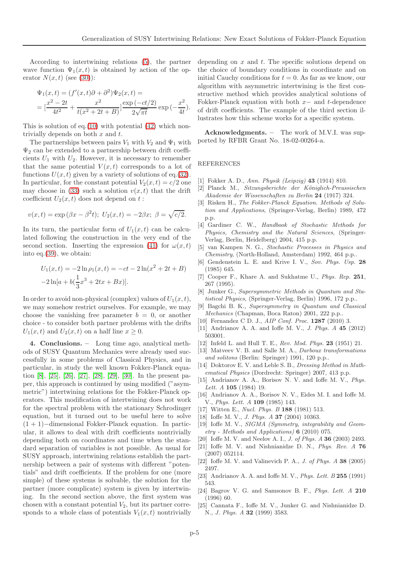According to intertwining relations [\(5\)](#page-1-3), the partner wave function  $\Psi_1(x,t)$  is obtained by action of the operator  $N(x, t)$  (see [\(30\)](#page-2-5)):

$$
\Psi_1(x,t) = (f'(x,t)\partial + \partial^2)\Psi_2(x,t) =
$$
  
=  $\left[\frac{x^2 - 2t}{4t^2} + \frac{x^2}{t(x^2 + 2t + B)}\right] \frac{\exp(-ct/2)}{2\sqrt{\pi t}} \exp(-\frac{x^2}{4t}).$ 

This is solution of eq.[\(10\)](#page-1-5) with potential  $(42)$  which nontrivially depends on both  $x$  and  $t$ .

The partnerships between pairs  $V_1$  with  $V_2$  and  $\Psi_1$  with  $\Psi_2$  can be extended to a partnership between drift coefficients  $U_1$  with  $U_2$ . However, it is necessary to remember that the same potential  $V(x,t)$  corresponds to a lot of functions  $U(x, t)$  given by a variety of solutions of eq.[\(32\)](#page-2-9). In particular, for the constant potential  $V_2(x, t) = c/2$  one may choose in [\(33\)](#page-2-10) such a solution  $v(x, t)$  that the drift coefficient  $U_2(x,t)$  does not depend on t:

$$
v(x,t) = \exp(\beta x - \beta^2 t); U_2(x,t) = -2\beta x; \ \beta = \sqrt{c/2}.
$$

In its turn, the particular form of  $U_1(x,t)$  can be calculated following the construction in the very end of the second section. Inserting the expression [\(41\)](#page-3-4) for  $\omega(x, t)$ into eq.[\(39\)](#page-3-2), we obtain:

$$
U_1(x,t) = -2\ln \rho_1(x,t) = -ct - 2\ln(x^2 + 2t + B)
$$

$$
-2\ln[a + b(\frac{1}{3}x^3 + 2tx + Bx)].
$$

In order to avoid non-physical (complex) values of  $U_1(x, t)$ , we may somehow restrict ourselves. For example, we may choose the vanishing free parameter  $b = 0$ , or another choice - to consider both partner problems with the drifts  $U_1(x,t)$  and  $U_2(x,t)$  on a half line  $x \geq 0$ .

4. Conclusions. – Long time ago, analytical methods of SUSY Quantum Mechanics were already used successfully in some problems of Classical Physics, and in particular, in study the well known Fokker-Planck equation [\[8\]](#page-4-7), [\[25\]](#page-4-24), [\[26\]](#page-5-0), [\[27\]](#page-5-1), [\[28\]](#page-5-2), [\[29\]](#page-5-3), [\[30\]](#page-5-4). In the present paper, this approach is continued by using modified ("asymmetric") intertwining relations for the Fokker-Planck operators. This modification of intertwining does not work for the spectral problem with the stationary Schrodinger equation, but it turned out to be useful here to solve (1 + 1)−dimensional Fokker-Planck equation. In particular, it allows to deal with drift coefficients nontrivially depending both on coordinates and time when the standard separation of variables is not possible. As usual for SUSY approach, intertwining relations establish the partnership between a pair of systems with different "potentials" and drift coefficients. If the problem for one (more simple) of these systems is solvable, the solution for the partner (more complicate) system is given by intertwining. In the second section above, the first system was chosen with a constant potential  $V_2$ , but its partner corresponds to a whole class of potentials  $V_1(x, t)$  nontrivially

depending on  $x$  and  $t$ . The specific solutions depend on the choice of boundary conditions in coordinate and on initial Cauchy conditions for  $t = 0$ . As far as we know, our algorithm with asymmetric intertwining is the first constructive method which provides analytical solutions of Fokker-Planck equation with both  $x-$  and t-dependence of drift coefficients. The example of the third section illustrates how this scheme works for a specific system.

Acknowledgments. – The work of M.V.I. was supported by RFBR Grant No. 18-02-00264-a.

## REFERENCES

- <span id="page-4-1"></span><span id="page-4-0"></span>[1] Fokker A. D., Ann. Physik (Leipzig) 43 (1914) 810.
- [2] Planck M., Sitzungsberichte der Königlich-Preussischen Akademie der Wissenschaften zu Berlin 24 (1917) 324.
- <span id="page-4-2"></span>[3] Risken H., The Fokker-Planck Equation. Methods of Solution and Applications, (Springer-Verlag, Berlin) 1989, 472 p.p.
- <span id="page-4-3"></span>[4] Gardiner C. W., Handbook of Stochastic Methods for Physics, Chemistry and the Natural Sciences, (Springer-Verlag, Berlin, Heidelberg) 2004, 415 p.p.
- <span id="page-4-4"></span>[5] van Kampen N. G., Stochastic Processes in Physics and Chemistry, (North-Holland, Amsterdam) 1992, 464 p.p..
- <span id="page-4-5"></span>[6] Gendenstein L. E. and Krive I. V., Sov. Phys. Usp. 28 (1985) 645.
- <span id="page-4-6"></span>[7] Cooper F., Khare A. and Sukhatme U., Phys. Rep. 251, 267 (1995).
- <span id="page-4-7"></span>[8] Junker G., Supersymmetric Methods in Quantum and Statistical Physics, (Springer-Verlag, Berlin) 1996, 172 p.p..
- <span id="page-4-8"></span>[9] Bagchi B. K., Supersymmetry in Quantum and Classical Mechanics (Chapman, Boca Raton) 2001, 222 p.p..
- <span id="page-4-10"></span><span id="page-4-9"></span>[10] Fernandez C D. J., *AIP Conf. Proc.* **1287** (2010) 3.
- <span id="page-4-11"></span>[11] Andrianov A. A. and Ioffe M. V., *J. Phys. A* **45** (2012) 503001.
- <span id="page-4-12"></span>[12] Infeld L. and Hull T. E., Rev. Mod. Phys. **23** (1951) 21.
- [13] Matveev V. B. and Salle M. A., *Darboux transformations* and solitons (Berlin: Springer) 1991, 120 p.p..
- <span id="page-4-13"></span>[14] Doktorov E. V. and Leble S. B., Dressing Method in Mathematical Physics (Dordrecht: Springer) 2007, 413 p.p.
- <span id="page-4-14"></span>[15] Andrianov A. A., Borisov N. V. and Ioffe M. V., Phys. Lett. A 105 (1984) 19.
- <span id="page-4-15"></span>[16] Andrianov A. A., Borisov N. V., Eides M. I. and Ioffe M. V., Phys. Lett. A 109 (1985) 143.
- <span id="page-4-17"></span><span id="page-4-16"></span>[17] Witten E., Nucl. Phys. B 188 (1981) 513.
- <span id="page-4-18"></span>[18] Ioffe M. V., J. Phys. A 37 (2004) 10363.
- [19] Ioffe M. V., *SIGMA (Symmetry, integrability and Geom*etry - Methods and Applications) 6 (2010) 075.
- <span id="page-4-20"></span><span id="page-4-19"></span>[20] Ioffe M. V. and Neelov A. I., *J. of Phys. A* **36** (2003) 2493.
- [21] Ioffe M. V. and Nishnianidze D. N., *Phys. Rev. A* 76 (2007) 052114.
- <span id="page-4-21"></span>[22] Ioffe M. V. and Valinevich P. A., J. of Phys.  $A$  38 (2005) 2497.
- <span id="page-4-22"></span>[23] Andrianov A. A. and Ioffe M. V., *Phys. Lett. B*  $255$  (1991) 543.
- <span id="page-4-23"></span>[24] Bagrov V. G. and Samsonov B. F., *Phys. Lett. A* 210 (1996) 60.
- <span id="page-4-24"></span>[25] Cannata F., Ioffe M. V., Junker G. and Nishnianidze D. N., J. Phys. A 32 (1999) 3583.